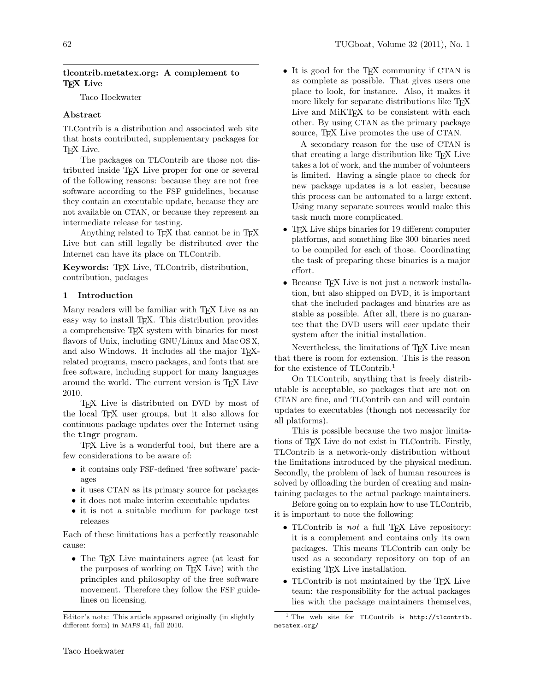### tlcontrib.metatex.org: A complement to T<sub>F</sub>X Live

Taco Hoekwater

## Abstract

TLContrib is a distribution and associated web site that hosts contributed, supplementary packages for TEX Live.

The packages on TLContrib are those not distributed inside TEX Live proper for one or several of the following reasons: because they are not free software according to the FSF guidelines, because they contain an executable update, because they are not available on CTAN, or because they represent an intermediate release for testing.

Anything related to TFX that cannot be in TFX Live but can still legally be distributed over the Internet can have its place on TLContrib.

Keywords: TEX Live, TLContrib, distribution, contribution, packages

#### 1 Introduction

Many readers will be familiar with T<sub>EX</sub> Live as an easy way to install T<sub>EX</sub>. This distribution provides a comprehensive TEX system with binaries for most flavors of Unix, including GNU/Linux and Mac OS X, and also Windows. It includes all the major TEXrelated programs, macro packages, and fonts that are free software, including support for many languages around the world. The current version is TEX Live 2010.

TEX Live is distributed on DVD by most of the local TEX user groups, but it also allows for continuous package updates over the Internet using the tlmgr program.

TEX Live is a wonderful tool, but there are a few considerations to be aware of:

- it contains only FSF-defined 'free software' packages
- it uses CTAN as its primary source for packages
- it does not make interim executable updates
- it is not a suitable medium for package test releases

Each of these limitations has a perfectly reasonable cause:

• The T<sub>F</sub>X Live maintainers agree (at least for the purposes of working on TEX Live) with the principles and philosophy of the free software movement. Therefore they follow the FSF guidelines on licensing.

• It is good for the T<sub>E</sub>X community if CTAN is as complete as possible. That gives users one place to look, for instance. Also, it makes it more likely for separate distributions like TFX Live and MIKT<sub>F</sub>X to be consistent with each other. By using CTAN as the primary package source, T<sub>F</sub>X Live promotes the use of CTAN.

A secondary reason for the use of CTAN is that creating a large distribution like TEX Live takes a lot of work, and the number of volunteers is limited. Having a single place to check for new package updates is a lot easier, because this process can be automated to a large extent. Using many separate sources would make this task much more complicated.

- TEX Live ships binaries for 19 different computer platforms, and something like 300 binaries need to be compiled for each of those. Coordinating the task of preparing these binaries is a major effort.
- Because T<sub>EX</sub> Live is not just a network installation, but also shipped on DVD, it is important that the included packages and binaries are as stable as possible. After all, there is no guarantee that the DVD users will ever update their system after the initial installation.

Nevertheless, the limitations of T<sub>EX</sub> Live mean that there is room for extension. This is the reason for the existence of TLContrib.<sup>1</sup>

On TLContrib, anything that is freely distributable is acceptable, so packages that are not on CTAN are fine, and TLContrib can and will contain updates to executables (though not necessarily for all platforms).

This is possible because the two major limitations of TEX Live do not exist in TLContrib. Firstly, TLContrib is a network-only distribution without the limitations introduced by the physical medium. Secondly, the problem of lack of human resources is solved by offloading the burden of creating and maintaining packages to the actual package maintainers.

Before going on to explain how to use TLContrib, it is important to note the following:

- TLContrib is *not* a full T<sub>E</sub>X Live repository: it is a complement and contains only its own packages. This means TLContrib can only be used as a secondary repository on top of an existing TEX Live installation.
- TLContrib is not maintained by the T<sub>E</sub>X Live team: the responsibility for the actual packages lies with the package maintainers themselves,

Editor's note: This article appeared originally (in slightly different form) in MAPS 41, fall 2010.

<sup>&</sup>lt;sup>1</sup> The web site for TLContrib is http://tlcontrib. metatex.org/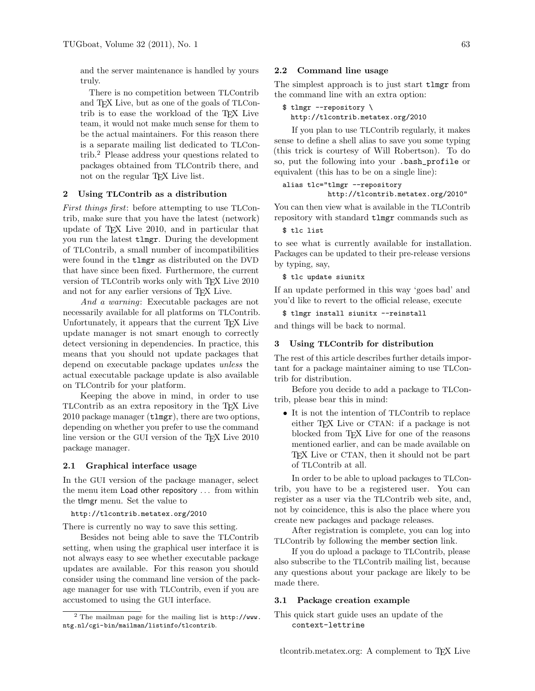and the server maintenance is handled by yours truly.

There is no competition between TLContrib and TEX Live, but as one of the goals of TLContrib is to ease the workload of the TEX Live team, it would not make much sense for them to be the actual maintainers. For this reason there is a separate mailing list dedicated to TLContrib.<sup>2</sup> Please address your questions related to packages obtained from TLContrib there, and not on the regular TFX Live list.

## 2 Using TLContrib as a distribution

First things first: before attempting to use TLContrib, make sure that you have the latest (network) update of TEX Live 2010, and in particular that you run the latest tlmgr. During the development of TLContrib, a small number of incompatibilities were found in the tlmgr as distributed on the DVD that have since been fixed. Furthermore, the current version of TLContrib works only with T<sub>EX</sub> Live 2010 and not for any earlier versions of TEX Live.

And a warning: Executable packages are not necessarily available for all platforms on TLContrib. Unfortunately, it appears that the current T<sub>EX</sub> Live update manager is not smart enough to correctly detect versioning in dependencies. In practice, this means that you should not update packages that depend on executable package updates unless the actual executable package update is also available on TLContrib for your platform.

Keeping the above in mind, in order to use TLContrib as an extra repository in the TEX Live 2010 package manager (tlmgr), there are two options, depending on whether you prefer to use the command line version or the GUI version of the T<sub>EX</sub> Live 2010 package manager.

#### 2.1 Graphical interface usage

In the GUI version of the package manager, select the menu item Load other repository . . . from within the tlmgr menu. Set the value to

#### http://tlcontrib.metatex.org/2010

There is currently no way to save this setting.

Besides not being able to save the TLContrib setting, when using the graphical user interface it is not always easy to see whether executable package updates are available. For this reason you should consider using the command line version of the package manager for use with TLContrib, even if you are accustomed to using the GUI interface.

#### 2.2 Command line usage

The simplest approach is to just start tlmgr from the command line with an extra option:

```
$ tlmgr --repository \
 http://tlcontrib.metatex.org/2010
```
If you plan to use TLContrib regularly, it makes sense to define a shell alias to save you some typing (this trick is courtesy of Will Robertson). To do so, put the following into your .bash\_profile or equivalent (this has to be on a single line):

```
alias tlc="tlmgr --repository
          http://tlcontrib.metatex.org/2010"
```
You can then view what is available in the TLContrib repository with standard tlmgr commands such as

# \$ tlc list

to see what is currently available for installation. Packages can be updated to their pre-release versions by typing, say,

#### \$ tlc update siunitx

If an update performed in this way 'goes bad' and you'd like to revert to the official release, execute

\$ tlmgr install siunitx --reinstall

and things will be back to normal.

#### 3 Using TLContrib for distribution

The rest of this article describes further details important for a package maintainer aiming to use TLContrib for distribution.

Before you decide to add a package to TLContrib, please bear this in mind:

• It is not the intention of TLContrib to replace either T<sub>EX</sub> Live or CTAN: if a package is not blocked from TEX Live for one of the reasons mentioned earlier, and can be made available on TEX Live or CTAN, then it should not be part of TLContrib at all.

In order to be able to upload packages to TLContrib, you have to be a registered user. You can register as a user via the TLContrib web site, and, not by coincidence, this is also the place where you create new packages and package releases.

After registration is complete, you can log into TLContrib by following the member section link.

If you do upload a package to TLContrib, please also subscribe to the TLContrib mailing list, because any questions about your package are likely to be made there.

## 3.1 Package creation example

 $2$  The mailman page for the mailing list is http://www. ntg.nl/cgi-bin/mailman/listinfo/tlcontrib.

This quick start guide uses an update of the context-lettrine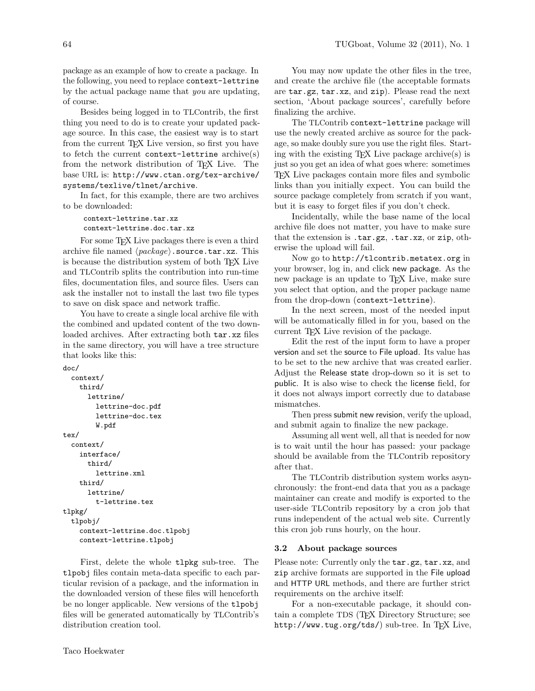package as an example of how to create a package. In the following, you need to replace context-lettrine by the actual package name that you are updating, of course.

Besides being logged in to TLContrib, the first thing you need to do is to create your updated package source. In this case, the easiest way is to start from the current TEX Live version, so first you have to fetch the current context-lettrine archive $(s)$ from the network distribution of TEX Live. The base URL is: http://www.ctan.org/tex-archive/ systems/texlive/tlnet/archive.

In fact, for this example, there are two archives to be downloaded:

```
context-lettrine.tar.xz
context-lettrine.doc.tar.xz
```
For some T<sub>EX</sub> Live packages there is even a third archive file named  $\langle package\rangle$ .source.tar.xz. This is because the distribution system of both TFX Live and TLContrib splits the contribution into run-time files, documentation files, and source files. Users can ask the installer not to install the last two file types to save on disk space and network traffic.

You have to create a single local archive file with the combined and updated content of the two downloaded archives. After extracting both tar.xz files in the same directory, you will have a tree structure that looks like this:

```
doc/
  context/
    third/
      lettrine/
        lettrine-doc.pdf
        lettrine-doc.tex
        W.pdf
tex/
  context/
    interface/
      third/
        lettrine.xml
    third/
      lettrine/
        t-lettrine.tex
tlpkg/
  tlpobj/
    context-lettrine.doc.tlpobj
    context-lettrine.tlpobj
```
First, delete the whole tlpkg sub-tree. The tlpobj files contain meta-data specific to each particular revision of a package, and the information in the downloaded version of these files will henceforth be no longer applicable. New versions of the tlpobj files will be generated automatically by TLContrib's distribution creation tool.

You may now update the other files in the tree, and create the archive file (the acceptable formats are tar.gz, tar.xz, and zip). Please read the next section, 'About package sources', carefully before finalizing the archive.

The TLContrib context-lettrine package will use the newly created archive as source for the package, so make doubly sure you use the right files. Starting with the existing  $T_{F}X$  Live package archive(s) is just so you get an idea of what goes where: sometimes TEX Live packages contain more files and symbolic links than you initially expect. You can build the source package completely from scratch if you want, but it is easy to forget files if you don't check.

Incidentally, while the base name of the local archive file does not matter, you have to make sure that the extension is .tar.gz, .tar.xz, or zip, otherwise the upload will fail.

Now go to http://tlcontrib.metatex.org in your browser, log in, and click new package. As the new package is an update to T<sub>EX</sub> Live, make sure you select that option, and the proper package name from the drop-down (context-lettrine).

In the next screen, most of the needed input will be automatically filled in for you, based on the current T<sub>EX</sub> Live revision of the package.

Edit the rest of the input form to have a proper version and set the source to File upload. Its value has to be set to the new archive that was created earlier. Adjust the Release state drop-down so it is set to public. It is also wise to check the license field, for it does not always import correctly due to database mismatches.

Then press submit new revision, verify the upload, and submit again to finalize the new package.

Assuming all went well, all that is needed for now is to wait until the hour has passed: your package should be available from the TLContrib repository after that.

The TLContrib distribution system works asynchronously: the front-end data that you as a package maintainer can create and modify is exported to the user-side TLContrib repository by a cron job that runs independent of the actual web site. Currently this cron job runs hourly, on the hour.

# 3.2 About package sources

Please note: Currently only the tar.gz, tar.xz, and zip archive formats are supported in the File upload and HTTP URL methods, and there are further strict requirements on the archive itself:

For a non-executable package, it should contain a complete TDS (TEX Directory Structure; see http://www.tug.org/tds/) sub-tree. In TFX Live,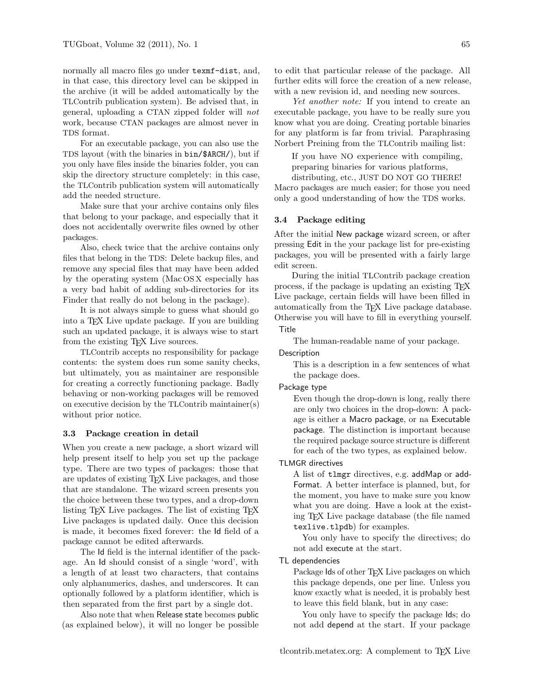normally all macro files go under texmf-dist, and, in that case, this directory level can be skipped in the archive (it will be added automatically by the TLContrib publication system). Be advised that, in general, uploading a CTAN zipped folder will not work, because CTAN packages are almost never in TDS format.

For an executable package, you can also use the TDS layout (with the binaries in bin/\$ARCH/), but if you only have files inside the binaries folder, you can skip the directory structure completely: in this case, the TLContrib publication system will automatically add the needed structure.

Make sure that your archive contains only files that belong to your package, and especially that it does not accidentally overwrite files owned by other packages.

Also, check twice that the archive contains only files that belong in the TDS: Delete backup files, and remove any special files that may have been added by the operating system (Mac OS X especially has a very bad habit of adding sub-directories for its Finder that really do not belong in the package).

It is not always simple to guess what should go into a TEX Live update package. If you are building such an updated package, it is always wise to start from the existing T<sub>EX</sub> Live sources.

TLContrib accepts no responsibility for package contents: the system does run some sanity checks, but ultimately, you as maintainer are responsible for creating a correctly functioning package. Badly behaving or non-working packages will be removed on executive decision by the TLContrib maintainer(s) without prior notice.

#### 3.3 Package creation in detail

When you create a new package, a short wizard will help present itself to help you set up the package type. There are two types of packages: those that are updates of existing TEX Live packages, and those that are standalone. The wizard screen presents you the choice between these two types, and a drop-down listing T<sub>EX</sub> Live packages. The list of existing T<sub>EX</sub> Live packages is updated daily. Once this decision is made, it becomes fixed forever: the Id field of a package cannot be edited afterwards.

The Id field is the internal identifier of the package. An Id should consist of a single 'word', with a length of at least two characters, that contains only alphanumerics, dashes, and underscores. It can optionally followed by a platform identifier, which is then separated from the first part by a single dot.

Also note that when Release state becomes public (as explained below), it will no longer be possible

to edit that particular release of the package. All further edits will force the creation of a new release, with a new revision id, and needing new sources.

Yet another note: If you intend to create an executable package, you have to be really sure you know what you are doing. Creating portable binaries for any platform is far from trivial. Paraphrasing Norbert Preining from the TLContrib mailing list:

If you have NO experience with compiling, preparing binaries for various platforms,

distributing, etc., JUST DO NOT GO THERE! Macro packages are much easier; for those you need only a good understanding of how the TDS works.

#### 3.4 Package editing

After the initial New package wizard screen, or after pressing Edit in the your package list for pre-existing packages, you will be presented with a fairly large edit screen.

During the initial TLContrib package creation process, if the package is updating an existing TEX Live package, certain fields will have been filled in automatically from the TEX Live package database. Otherwise you will have to fill in everything yourself. **Title** 

The human-readable name of your package.

#### **Description**

This is a description in a few sentences of what the package does.

## Package type

Even though the drop-down is long, really there are only two choices in the drop-down: A package is either a Macro package, or na Executable package. The distinction is important because the required package source structure is different for each of the two types, as explained below.

## TLMGR directives

A list of tlmgr directives, e.g. addMap or add-Format. A better interface is planned, but, for the moment, you have to make sure you know what you are doing. Have a look at the existing TEX Live package database (the file named texlive.tlpdb) for examples.

You only have to specify the directives; do not add execute at the start.

## TL dependencies

Package Ids of other TFX Live packages on which this package depends, one per line. Unless you know exactly what is needed, it is probably best to leave this field blank, but in any case:

You only have to specify the package Ids; do not add depend at the start. If your package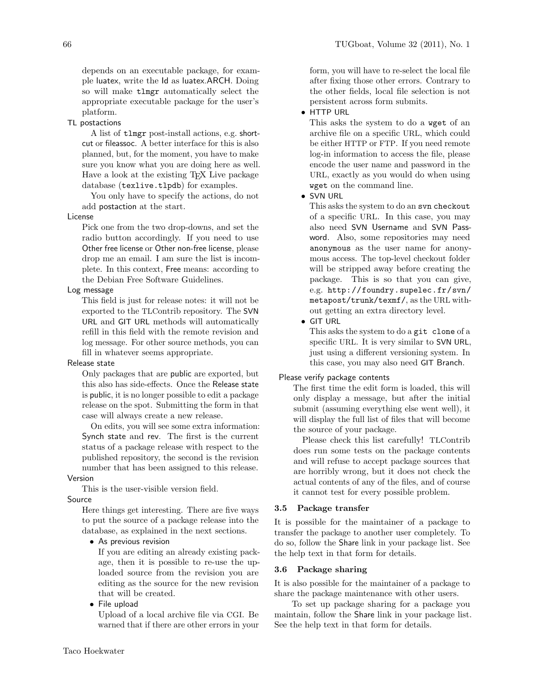depends on an executable package, for example luatex, write the Id as luatex.ARCH. Doing so will make tlmgr automatically select the appropriate executable package for the user's platform.

## TL postactions

A list of tlmgr post-install actions, e.g. shortcut or fileassoc. A better interface for this is also planned, but, for the moment, you have to make sure you know what you are doing here as well. Have a look at the existing TEX Live package database (texlive.tlpdb) for examples.

You only have to specify the actions, do not add postaction at the start.

## License

Pick one from the two drop-downs, and set the radio button accordingly. If you need to use Other free license or Other non-free license, please drop me an email. I am sure the list is incomplete. In this context, Free means: according to the Debian Free Software Guidelines.

#### Log message

This field is just for release notes: it will not be exported to the TLContrib repository. The SVN URL and GIT URL methods will automatically refill in this field with the remote revision and log message. For other source methods, you can fill in whatever seems appropriate.

#### Release state

Only packages that are public are exported, but this also has side-effects. Once the Release state is public, it is no longer possible to edit a package release on the spot. Submitting the form in that case will always create a new release.

On edits, you will see some extra information: Synch state and rev. The first is the current status of a package release with respect to the published repository, the second is the revision number that has been assigned to this release. Version

#### This is the user-visible version field.

# Source

Here things get interesting. There are five ways to put the source of a package release into the database, as explained in the next sections.

# • As previous revision

If you are editing an already existing package, then it is possible to re-use the uploaded source from the revision you are editing as the source for the new revision that will be created.

• File upload

Upload of a local archive file via CGI. Be warned that if there are other errors in your form, you will have to re-select the local file after fixing those other errors. Contrary to the other fields, local file selection is not persistent across form submits.

## • HTTP URL

This asks the system to do a wget of an archive file on a specific URL, which could be either HTTP or FTP. If you need remote log-in information to access the file, please encode the user name and password in the URL, exactly as you would do when using wget on the command line.

# • SVN URL

This asks the system to do an svn checkout of a specific URL. In this case, you may also need SVN Username and SVN Password. Also, some repositories may need anonymous as the user name for anonymous access. The top-level checkout folder will be stripped away before creating the package. This is so that you can give, e.g. http://foundry.supelec.fr/svn/ metapost/trunk/texmf/, as the URL without getting an extra directory level.

## • GIT URL

This asks the system to do a git clone of a specific URL. It is very similar to SVN URL, just using a different versioning system. In this case, you may also need GIT Branch.

## Please verify package contents

The first time the edit form is loaded, this will only display a message, but after the initial submit (assuming everything else went well), it will display the full list of files that will become the source of your package.

Please check this list carefully! TLContrib does run some tests on the package contents and will refuse to accept package sources that are horribly wrong, but it does not check the actual contents of any of the files, and of course it cannot test for every possible problem.

## 3.5 Package transfer

It is possible for the maintainer of a package to transfer the package to another user completely. To do so, follow the Share link in your package list. See the help text in that form for details.

#### 3.6 Package sharing

It is also possible for the maintainer of a package to share the package maintenance with other users.

To set up package sharing for a package you maintain, follow the Share link in your package list. See the help text in that form for details.